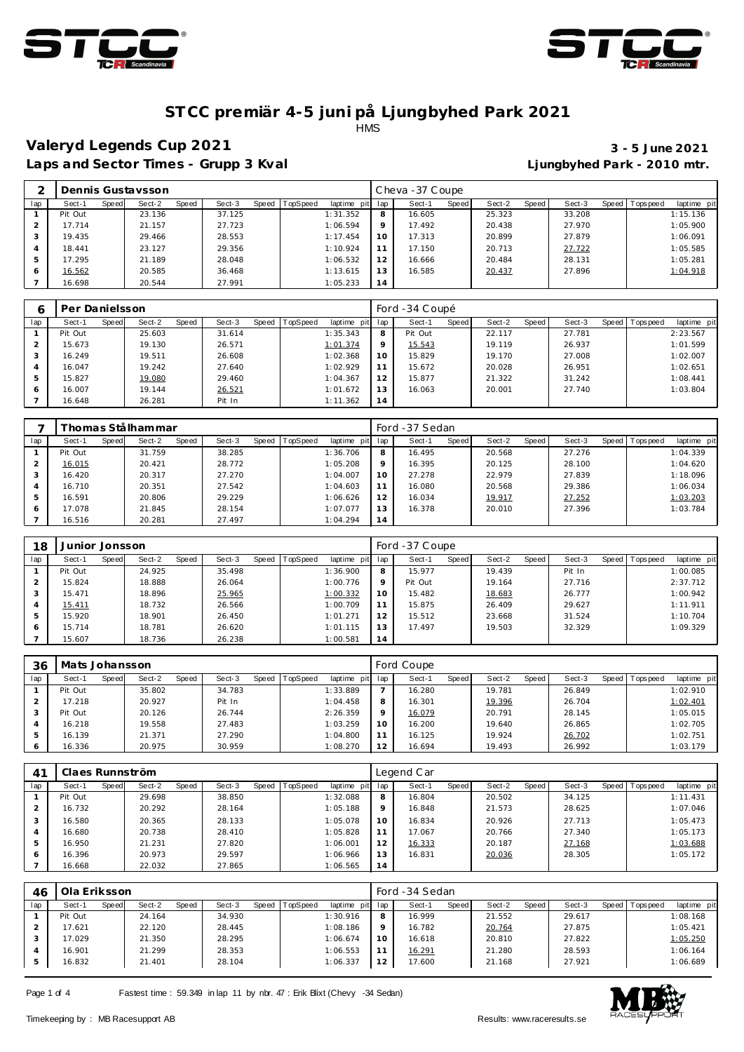



### **ST CC premiär 4-5 juni på Ljungbyhed Park 2021 HMS**

## **Valeryd Legends Cup 2021 3 - 5 June 2021**

Laps and Sector Times - Grupp 3 Kval **Laps and Sector Times - Grupp 3 Kval Limes Limes Limes Limes Limes Limes Limes Limes Limes Limes Limes Limes Limes Limes Limes Limes Limes Limes L** 

|     |         |       | Dennis Gustavsson |       |        |       |          |                |         | Cheva-37 Coupe |              |        |       |        |       |           |             |
|-----|---------|-------|-------------------|-------|--------|-------|----------|----------------|---------|----------------|--------------|--------|-------|--------|-------|-----------|-------------|
| lap | Sect-1  | Speed | Sect-2            | Speed | Sect-3 | Speed | TopSpeed | laptime<br>pit | lap     | Sect-1         | <b>Speed</b> | Sect-2 | Speed | Sect-3 | Speed | Tops peed | laptime pit |
|     | Pit Out |       | 23.136            |       | 37.125 |       |          | 1:31.352       | 8       | 16.605         |              | 25.323 |       | 33.208 |       |           | 1:15.136    |
|     | 17.714  |       | 21.157            |       | 27.723 |       |          | 1:06.594       | $\circ$ | 17.492         |              | 20.438 |       | 27.970 |       |           | 1:05.900    |
|     | 19.435  |       | 29.466            |       | 28.553 |       |          | 1:17.454       | 10      | 17.313         |              | 20.899 |       | 27.879 |       |           | 1:06.091    |
| 4   | 18.441  |       | 23.127            |       | 29.356 |       |          | 1:10.924       | 11      | 17.150         |              | 20.713 |       | 27.722 |       |           | 1:05.585    |
| 5   | 17.295  |       | 21.189            |       | 28.048 |       |          | 1:06.532       | 12      | 16.666         |              | 20.484 |       | 28.131 |       |           | 1:05.281    |
| 6   | 16.562  |       | 20.585            |       | 36.468 |       |          | 1:13.615       | 13      | 16.585         |              | 20.437 |       | 27.896 |       |           | 1:04.918    |
|     | 16.698  |       | 20.544            |       | 27.991 |       |          | 1:05.233       | 14      |                |              |        |       |        |       |           |             |

|     | Per Danielsson |       |        |       |        |       |          |                 |         | Ford -34 Coupé |       |        |       |        |                 |             |
|-----|----------------|-------|--------|-------|--------|-------|----------|-----------------|---------|----------------|-------|--------|-------|--------|-----------------|-------------|
| lap | Sect-1         | Speed | Sect-2 | Speed | Sect-3 | Speed | TopSpeed | laptime pit lap |         | Sect-1         | Speed | Sect-2 | Speed | Sect-3 | Speed Tops peed | laptime pit |
|     | Pit Out        |       | 25.603 |       | 31.614 |       |          | 1:35.343        | 8       | Pit Out        |       | 22.117 |       | 27.781 |                 | 2:23.567    |
|     | 15.673         |       | 19.130 |       | 26.571 |       |          | 1:01.374        | $\circ$ | 15.543         |       | 19.119 |       | 26.937 |                 | 1:01.599    |
|     | 16.249         |       | 19.511 |       | 26.608 |       |          | 1:02.368        | 10      | 15.829         |       | 19.170 |       | 27.008 |                 | 1:02.007    |
|     | 16.047         |       | 19.242 |       | 27.640 |       |          | 1:02.929        | 11      | 15.672         |       | 20.028 |       | 26.951 |                 | 1:02.651    |
|     | 15.827         |       | 19.080 |       | 29.460 |       |          | 1:04.367        | 12      | 15.877         |       | 21.322 |       | 31.242 |                 | 1:08.441    |
| 6   | 16.007         |       | 19.144 |       | 26.521 |       |          | 1:01.672        | 13      | 16.063         |       | 20.001 |       | 27.740 |                 | 1:03.804    |
|     | 16.648         |       | 26.281 |       | Pit In |       |          | 1:11.362        | 14      |                |       |        |       |        |                 |             |

|     |         |       | Thomas Stålhammar |       |        |       |          |             |         | Ford -37 Sedan |       |        |       |        |       |            |             |
|-----|---------|-------|-------------------|-------|--------|-------|----------|-------------|---------|----------------|-------|--------|-------|--------|-------|------------|-------------|
| lap | Sect-1  | Speed | Sect-2            | Speed | Sect-3 | Speed | TopSpeed | laptime pit | lap     | Sect-1         | Speed | Sect-2 | Speed | Sect-3 | Speed | Tops pee d | laptime pit |
|     | Pit Out |       | 31.759            |       | 38.285 |       |          | 1:36.706    | 8       | 16.495         |       | 20.568 |       | 27.276 |       |            | 1:04.339    |
|     | 16.015  |       | 20.421            |       | 28.772 |       |          | 1:05.208    | $\circ$ | 16.395         |       | 20.125 |       | 28.100 |       |            | 1:04.620    |
|     | 16.420  |       | 20.317            |       | 27.270 |       |          | 1:04.007    | 10      | 27.278         |       | 22.979 |       | 27.839 |       |            | 1:18.096    |
|     | 16.710  |       | 20.351            |       | 27.542 |       |          | 1:04.603    | 11      | 16.080         |       | 20.568 |       | 29.386 |       |            | 1:06.034    |
|     | 16.591  |       | 20.806            |       | 29.229 |       |          | 1:06.626    | 12      | 16.034         |       | 19.917 |       | 27.252 |       |            | 1:03.203    |
| 6   | 17.078  |       | 21.845            |       | 28.154 |       |          | 1:07.077    | 13      | 16.378         |       | 20.010 |       | 27.396 |       |            | 1:03.784    |
|     | 16.516  |       | 20.281            |       | 27.497 |       |          | 1:04.294    | 14      |                |       |        |       |        |       |            |             |

| 18  | Junior Jonsson |       |        |       |        |       |          |             |                 | Ford -37 Coupe |       |        |       |        |       |           |             |
|-----|----------------|-------|--------|-------|--------|-------|----------|-------------|-----------------|----------------|-------|--------|-------|--------|-------|-----------|-------------|
| lap | Sect-1         | Speed | Sect-2 | Speed | Sect-3 | Speed | TopSpeed | laptime pit | lap             | Sect-1         | Speed | Sect-2 | Speed | Sect-3 | Speed | Tops peed | laptime pit |
|     | Pit Out        |       | 24.925 |       | 35.498 |       |          | 1:36.900    | 8               | 15.977         |       | 19.439 |       | Pit In |       |           | 1:00.085    |
|     | 15.824         |       | 18.888 |       | 26.064 |       |          | 1:00.776    | $\circ$         | Pit Out        |       | 19.164 |       | 27.716 |       |           | 2:37.712    |
| 3   | 15.471         |       | 18.896 |       | 25.965 |       |          | 1:00.332    | 10 <sup>°</sup> | 15.482         |       | 18.683 |       | 26.777 |       |           | 1:00.942    |
|     | 15.411         |       | 18.732 |       | 26.566 |       |          | 1:00.709    | 11              | 15.875         |       | 26.409 |       | 29.627 |       |           | 1:11.911    |
| 5   | 15.920         |       | 18.901 |       | 26.450 |       |          | 1:01.271    | 12              | 15.512         |       | 23.668 |       | 31.524 |       |           | 1:10.704    |
| 6   | 15.714         |       | 18.781 |       | 26.620 |       |          | 1:01.115    | 13              | 17.497         |       | 19.503 |       | 32.329 |       |           | 1:09.329    |
|     | 15.607         |       | 18.736 |       | 26.238 |       |          | 1:00.581    | 14              |                |       |        |       |        |       |           |             |

| 36            | Mats Johansson |       |        |       |        |       |                 |             |           | Ford Coupe |       |        |       |        |                |             |
|---------------|----------------|-------|--------|-------|--------|-------|-----------------|-------------|-----------|------------|-------|--------|-------|--------|----------------|-------------|
| lap           | Sect-1         | Speed | Sect-2 | Speed | Sect-3 | Speed | <b>TopSpeed</b> | laptime pit | lap       | Sect-1     | Speed | Sect-2 | Speed | Sect-3 | Speed Topspeed | laptime pit |
|               | Pit Out        |       | 35.802 |       | 34.783 |       |                 | 1:33.889    |           | 16.280     |       | 19.781 |       | 26.849 |                | 1:02.910    |
|               | 17.218         |       | 20.927 |       | Pit In |       |                 | 1:04.458    | 8         | 16.301     |       | 19.396 |       | 26.704 |                | 1:02.401    |
|               | Pit Out        |       | 20.126 |       | 26.744 |       |                 | 2:26.359    | $\circ$   | 16.079     |       | 20.791 |       | 28.145 |                | 1:05.015    |
| 4             | 16.218         |       | 19.558 |       | 27.483 |       |                 | 1:03.259    | 10        | 16.200     |       | 19.640 |       | 26.865 |                | 1:02.705    |
| $\mathcal{P}$ | 16.139         |       | 21.371 |       | 27.290 |       |                 | 1:04.800    |           | 16.125     |       | 19.924 |       | 26.702 |                | 1:02.751    |
| 6             | 16.336         |       | 20.975 |       | 30.959 |       |                 | 1:08.270    | $\bigcap$ | 16.694     |       | 19.493 |       | 26.992 |                | 1:03.179    |

| 4 <sup>1</sup> | Claes Runnström |       |        |       |        |       |          |             |     | Legend Car |       |        |       |        |       |                  |             |
|----------------|-----------------|-------|--------|-------|--------|-------|----------|-------------|-----|------------|-------|--------|-------|--------|-------|------------------|-------------|
| lap            | Sect-1          | Speed | Sect-2 | Speed | Sect-3 | Speed | TopSpeed | laptime pit | lap | Sect-1     | Speed | Sect-2 | Speed | Sect-3 | Speed | <b>Tops peed</b> | laptime pit |
|                | Pit Out         |       | 29.698 |       | 38.850 |       |          | 1:32.088    | 8   | 16.804     |       | 20.502 |       | 34.125 |       |                  | 1:11.431    |
|                | 16.732          |       | 20.292 |       | 28.164 |       |          | 1:05.188    | 9   | 16.848     |       | 21.573 |       | 28.625 |       |                  | 1:07.046    |
|                | 16.580          |       | 20.365 |       | 28.133 |       |          | 1:05.078    | 10  | 16.834     |       | 20.926 |       | 27.713 |       |                  | 1:05.473    |
| $\overline{A}$ | 16.680          |       | 20.738 |       | 28.410 |       |          | 1:05.828    | 11  | 17.067     |       | 20.766 |       | 27.340 |       |                  | 1:05.173    |
| 5              | 16.950          |       | 21.231 |       | 27.820 |       |          | 1:06.001    | 12  | 16.333     |       | 20.187 |       | 27.168 |       |                  | 1:03.688    |
| <sup>6</sup>   | 16.396          |       | 20.973 |       | 29.597 |       |          | 1:06.966    | 13  | 16.831     |       | 20.036 |       | 28.305 |       |                  | 1:05.172    |
|                | 16.668          |       | 22.032 |       | 27.865 |       |          | 1:06.565    | 14  |            |       |        |       |        |       |                  |             |

| 46  | Ola Eriksson |       |        |              |        |       |          |             |         | Ford -34 Sedan |              |        |       |        |       |            |             |
|-----|--------------|-------|--------|--------------|--------|-------|----------|-------------|---------|----------------|--------------|--------|-------|--------|-------|------------|-------------|
| lap | Sect-1       | Speed | Sect-2 | <b>Speed</b> | Sect-3 | Speed | TopSpeed | laptime pit | lap     | Sect-1         | <b>Speed</b> | Sect-2 | Speed | Sect-3 | Speed | Tops pee d | laptime pit |
|     | Pit Out      |       | 24.164 |              | 34.930 |       |          | 1:30.916    | 8       | 16.999         |              | 21.552 |       | 29.617 |       |            | 1:08.168    |
|     | 17.621       |       | 22.120 |              | 28.445 |       |          | 1:08.186    | $\circ$ | 16.782         |              | 20.764 |       | 27.875 |       |            | 1:05.421    |
|     | 17.029       |       | 21.350 |              | 28.295 |       |          | 1:06.674    | 10      | 16.618         |              | 20.810 |       | 27.822 |       |            | 1:05.250    |
|     | 16.901       |       | 21.299 |              | 28.353 |       |          | 1:06.553    | 11      | 16.291         |              | 21.280 |       | 28.593 |       |            | 1:06.164    |
|     | 16.832       |       | 21.401 |              | 28.104 |       |          | 1:06.337    | 12      | 17.600         |              | 21.168 |       | 27.921 |       |            | 1:06.689    |

Page 1 of 4 Fastest time : 59.349 in lap 11 by nbr. 47 : Erik Blixt (Chevy -34 Sedan)

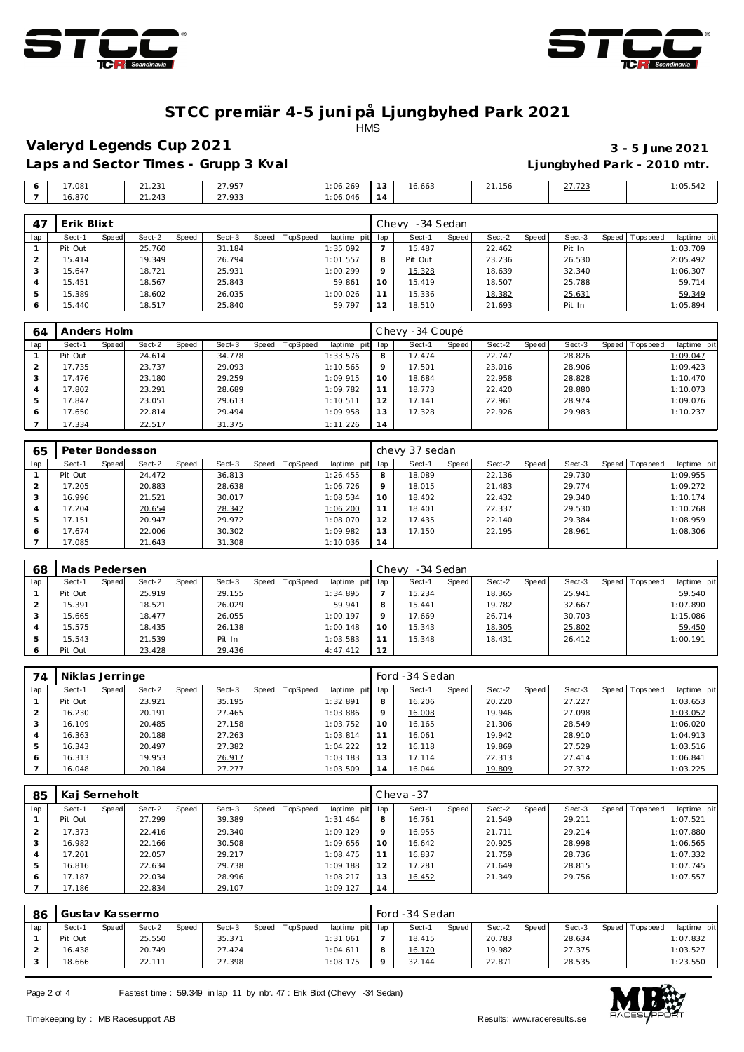



### **ST CC premiär 4-5 juni på Ljungbyhed Park 2021**

**HMS** 

### **Valeryd Legends Cup 2021 3 - 5 June 2021**

Laps and Sector Times - Grupp 3 Kval **Laps and Sector Times - Grupp 3 Kval Limes Laps and Sector Times - Grupp 3 Kval** 

**3** 15.647 18.721 25.931 1:00.299 9<br>4 15.451 18.567 25.843 59.861 10 15.451 18.567 25.843 59.861

**9** 1<u>5.328</u> 18.639 32.340 1:06.307<br>10 15.419 18.507 25.788 59.714 15.419 18.507 25.788 59.714

|     | 17.081<br>16.870 |       | 21.231<br>21.243 |       | 27.957<br>27.933 |       |          | 1:06.269<br>1:06.046 | 13<br>14 | 16.663          |       | 21.156 |       | 27.723 |                 | 1:05.542    |
|-----|------------------|-------|------------------|-------|------------------|-------|----------|----------------------|----------|-----------------|-------|--------|-------|--------|-----------------|-------------|
| 47  | Erik Blixt       |       |                  |       |                  |       |          |                      |          | Chevy -34 Sedan |       |        |       |        |                 |             |
| lap | Sect-1           | Speed | Sect-2           | Speed | Sect-3           | Speed | TopSpeed | laptime pit          | lap      | Sect-1          | Speed | Sect-2 | Speed | Sect-3 | Speed Tops peed | laptime pit |
|     | Pit Out          |       | 25.760           |       | 31.184           |       |          | 1:35.092             |          | 15.487          |       | 22.462 |       | Pit In |                 | 1:03.709    |
|     | 15.414           |       | 19.349           |       | 26.794           |       |          | 1:01.557             |          | Pit Out         |       | 23.236 |       | 26.530 |                 | 2:05.492    |

| ь<br>$\circ$   | 15.389<br>15.440 |              | 18.602<br>18.517 |       | 26.035<br>25.840 |       |          | 1:00.026<br>59.797 | 11<br>12 | 15.336<br>18.510 |       | 18.382<br>21.693 |       | 25.631<br>Pit In |       |          | 59.349<br>1:05.894 |
|----------------|------------------|--------------|------------------|-------|------------------|-------|----------|--------------------|----------|------------------|-------|------------------|-------|------------------|-------|----------|--------------------|
|                |                  |              |                  |       |                  |       |          |                    |          |                  |       |                  |       |                  |       |          |                    |
| 64             | Anders Holm      |              |                  |       |                  |       |          |                    |          | Chevy -34 Coupé  |       |                  |       |                  |       |          |                    |
| lap            | Sect-1           | <b>Speed</b> | Sect-2           | Speed | Sect-3           | Speed | TopSpeed | laptime pit        | lap      | Sect-1           | Speed | Sect-2           | Speed | Sect-3           | Speed | Topspeed | laptime pit        |
|                | Pit Out          |              | 24.614           |       | 34.778           |       |          | 1:33.576           | 8        | 17.474           |       | 22.747           |       | 28.826           |       |          | 1:09.047           |
| $\overline{2}$ | 17.735           |              | 23.737           |       | 29.093           |       |          | 1:10.565           | Q        | 17.501           |       | 23.016           |       | 28.906           |       |          | 1:09.423           |
| 3              | 17.476           |              | 23.180           |       | 29.259           |       |          | 1:09.915           | $10^{-}$ | 18.684           |       | 22.958           |       | 28.828           |       |          | 1:10.470           |
| 4              | 17.802           |              | 23.291           |       | 28.689           |       |          | 1:09.782           | 11       | 18.773           |       | 22.420           |       | 28.880           |       |          | 1:10.073           |
| 5              | 17.847           |              | 23.051           |       | 29.613           |       |          | 1:10.511           | 12       | 17.141           |       | 22.961           |       | 28.974           |       |          | 1:09.076           |
| 6              | 17.650           |              | 22.814           |       | 29.494           |       |          | 1:09.958           | 13.      | 17.328           |       | 22.926           |       | 29.983           |       |          | 1:10.237           |
|                | 17.334           |              | 22.517           |       | 31.375           |       |          | 1:11.226           | 14       |                  |       |                  |       |                  |       |          |                    |

| 65  | Peter Bondesson |       |        |       |        |       |          |             |     | chevy 37 sedan |              |        |       |        |       |           |             |
|-----|-----------------|-------|--------|-------|--------|-------|----------|-------------|-----|----------------|--------------|--------|-------|--------|-------|-----------|-------------|
| lap | Sect-1          | Speed | Sect-2 | Speed | Sect-3 | Speed | TopSpeed | laptime pit | lap | Sect-1         | <b>Speed</b> | Sect-2 | Speed | Sect-3 | Speed | Tops peed | laptime pit |
|     | Pit Out         |       | 24.472 |       | 36.813 |       |          | 1:26.455    | 8   | 18.089         |              | 22.136 |       | 29.730 |       |           | 1:09.955    |
|     | 17.205          |       | 20.883 |       | 28.638 |       |          | 1:06.726    | 9   | 18.015         |              | 21.483 |       | 29.774 |       |           | 1:09.272    |
| 3   | 16.996          |       | 21.521 |       | 30.017 |       |          | 1:08.534    | 10  | 18.402         |              | 22.432 |       | 29.340 |       |           | 1:10.174    |
| 4   | 17.204          |       | 20.654 |       | 28.342 |       |          | 1:06.200    | 11  | 18.401         |              | 22.337 |       | 29.530 |       |           | 1:10.268    |
| 5   | 17.151          |       | 20.947 |       | 29.972 |       |          | 1:08.070    | 12  | 17.435         |              | 22.140 |       | 29.384 |       |           | 1:08.959    |
| 6   | 17.674          |       | 22.006 |       | 30.302 |       |          | 1:09.982    | 13  | 17.150         |              | 22.195 |       | 28.961 |       |           | 1:08.306    |
|     | 17.085          |       | 21.643 |       | 31.308 |       |          | 1:10.036    | 14  |                |              |        |       |        |       |           |             |

| 68  | Mads Pedersen |       |        |       |        |       |                 |             | Chevy |        | -34 Sedan |        |       |        |       |                  |             |
|-----|---------------|-------|--------|-------|--------|-------|-----------------|-------------|-------|--------|-----------|--------|-------|--------|-------|------------------|-------------|
| lap | Sect-1        | Speed | Sect-2 | Speed | Sect-3 | Speed | <b>TopSpeed</b> | laptime pit | lap   | Sect-1 | Speed     | Sect-2 | Speed | Sect-3 | Speed | <b>Tops peed</b> | laptime pit |
|     | Pit Out       |       | 25.919 |       | 29.155 |       |                 | 1:34.895    |       | 15.234 |           | 18.365 |       | 25.941 |       |                  | 59.540      |
|     | 15.391        |       | 18.521 |       | 26.029 |       |                 | 59.941      | 8     | 15.441 |           | 19.782 |       | 32.667 |       |                  | 1:07.890    |
|     | 15.665        |       | 18.477 |       | 26.055 |       |                 | 1:00.197    |       | 17.669 |           | 26.714 |       | 30.703 |       |                  | 1:15.086    |
|     | 15.575        |       | 18.435 |       | 26.138 |       |                 | 1:00.148    | 10    | 15.343 |           | 18.305 |       | 25.802 |       |                  | 59.450      |
|     | 15.543        |       | 21.539 |       | Pit In |       |                 | 1:03.583    | 11    | 15.348 |           | 18.431 |       | 26.412 |       |                  | 1:00.191    |
|     | Pit Out       |       | 23.428 |       | 29.436 |       |                 | 4:47.412    | 12    |        |           |        |       |        |       |                  |             |

| 74  | Niklas Jerringe |       |        |       |        |       |          |                 |         | Ford -34 Sedan |       |        |       |        |                |             |
|-----|-----------------|-------|--------|-------|--------|-------|----------|-----------------|---------|----------------|-------|--------|-------|--------|----------------|-------------|
| lap | Sect-1          | Speed | Sect-2 | Speed | Sect-3 | Speed | TopSpeed | laptime pit lap |         | Sect-1         | Speed | Sect-2 | Speed | Sect-3 | Speed Topspeed | laptime pit |
|     | Pit Out         |       | 23.921 |       | 35.195 |       |          | 1:32.891        | 8       | 16.206         |       | 20.220 |       | 27.227 |                | 1:03.653    |
|     | 16.230          |       | 20.191 |       | 27.465 |       |          | 1:03.886        | $\circ$ | 16.008         |       | 19.946 |       | 27.098 |                | 1:03.052    |
|     | 16.109          |       | 20.485 |       | 27.158 |       |          | 1:03.752        | 10      | 16.165         |       | 21.306 |       | 28.549 |                | 1:06.020    |
|     | 16.363          |       | 20.188 |       | 27.263 |       |          | 1:03.814        | 11      | 16.061         |       | 19.942 |       | 28.910 |                | 1:04.913    |
|     | 16.343          |       | 20.497 |       | 27.382 |       |          | 1:04.222        | 12      | 16.118         |       | 19.869 |       | 27.529 |                | 1:03.516    |
| 6   | 16.313          |       | 19.953 |       | 26.917 |       |          | 1:03.183        | 13      | 17.114         |       | 22.313 |       | 27.414 |                | 1:06.841    |
|     | 16.048          |       | 20.184 |       | 27.277 |       |          | 1:03.509        | 14      | 16.044         |       | 19.809 |       | 27.372 |                | 1:03.225    |

| 85  | Kaj Serneholt |       |        |       |        |       |                 |             |         | Cheva-37 |       |        |       |        |                 |             |
|-----|---------------|-------|--------|-------|--------|-------|-----------------|-------------|---------|----------|-------|--------|-------|--------|-----------------|-------------|
| lap | Sect-1        | Speed | Sect-2 | Speed | Sect-3 | Speed | <b>TopSpeed</b> | laptime pit | lap     | Sect-1   | Speed | Sect-2 | Speed | Sect-3 | Speed Tops peed | laptime pit |
|     | Pit Out       |       | 27.299 |       | 39.389 |       |                 | 1:31.464    | 8       | 16.761   |       | 21.549 |       | 29.211 |                 | 1:07.521    |
|     | 17.373        |       | 22.416 |       | 29.340 |       |                 | 1:09.129    | $\circ$ | 16.955   |       | 21.711 |       | 29.214 |                 | 1:07.880    |
|     | 16.982        |       | 22.166 |       | 30.508 |       |                 | 1:09.656    | 10      | 16.642   |       | 20.925 |       | 28.998 |                 | 1:06.565    |
|     | 17.201        |       | 22.057 |       | 29.217 |       |                 | 1:08.475    |         | 16.837   |       | 21.759 |       | 28.736 |                 | 1:07.332    |
|     | 16.816        |       | 22.634 |       | 29.738 |       |                 | 1:09.188    | 12      | 17.281   |       | 21.649 |       | 28.815 |                 | 1:07.745    |
| 6   | 17.187        |       | 22.034 |       | 28.996 |       |                 | 1:08.217    | 13      | 16.452   |       | 21.349 |       | 29.756 |                 | 1:07.557    |
|     | 17.186        |       | 22.834 |       | 29.107 |       |                 | 1:09.127    | 14      |          |       |        |       |        |                 |             |

| -86 |         |        | Gustav Kassermo |       |        |       |          |                 |         | Ford -34 Sedan |              |        |       |        |         |            |             |
|-----|---------|--------|-----------------|-------|--------|-------|----------|-----------------|---------|----------------|--------------|--------|-------|--------|---------|------------|-------------|
| lap | Sect-1  | Speedl | Sect-2          | Speed | Sect-3 | Speed | TopSpeed | laptime pit lap |         | Sect-1         | <b>Speed</b> | Sect-2 | Speed | Sect-3 | Speed I | T ops peed | laptime pit |
|     | Pit Out |        | 25.550          |       | 35.371 |       |          | 1:31.061        |         | 18.415         |              | 20.783 |       | 28.634 |         |            | 1:07.832    |
|     | 16.438  |        | 20.749          |       | 27.424 |       |          | 1:04.611        | 8       | 16.170         |              | 19.982 |       | 27.375 |         |            | 1:03.527    |
|     | 18.666  |        | 22.111          |       | 27.398 |       |          | 1:08.175        | $\circ$ | 32.144         |              | 22.871 |       | 28.535 |         |            | 1:23.550    |

Page 2 of 4 Fastest time : 59.349 in lap 11 by nbr. 47 : Erik Blixt (Chevy -34 Sedan)

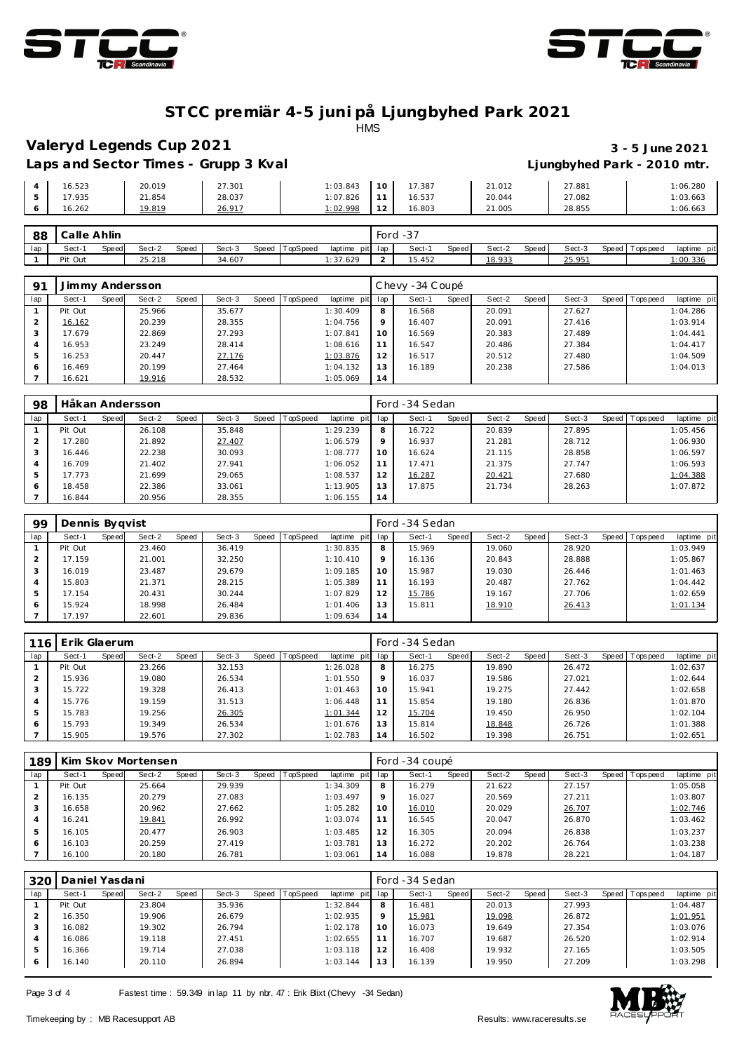



## **ST CC premiär 4-5 juni på Ljungbyhed Park 2021**

**HMS** 

### **Valeryd Legends Cup 2021 3 - 5 June 2021**

# **Laps and Sector Times - Grupp 3 Kval Ljungbyhed Park - 2010 mtr.**

|   |        |        |        |          |                  |        |        | __     |          |
|---|--------|--------|--------|----------|------------------|--------|--------|--------|----------|
|   | 16.523 | 20.019 | 27.301 | : 03.843 | 10               | 17.387 | 21.012 | 27.881 | 1:06.280 |
|   | 17.935 | 21.854 | 28.037 | 1:07.826 |                  | 16.537 | 20.044 | 27.082 | 1:03.663 |
| ັ | 16.262 | 19.819 | 26.917 | :02.998  | 12<br>$\epsilon$ | 16.803 | 21.005 | 28.855 | 1:06.663 |

| 88  | Calle Ahlin |       |        |       |        |       |          |                 | Ford | . د-   |       |        |       |        |                 |             |
|-----|-------------|-------|--------|-------|--------|-------|----------|-----------------|------|--------|-------|--------|-------|--------|-----------------|-------------|
| lap | Sect-1      | Speed | Sect-2 | Speed | Sect-3 | Speed | TopSpeed | laptime pit lap |      | Sect-1 | Speed | Sect-2 | Speed | Sect-3 | Speed Tops peed | laptime pit |
|     | Pit Out     |       | 25.218 |       | 34.607 |       |          | :37.629         |      | 15.452 |       | 18.933 |       | 25.951 |                 | 1:00.336    |

| 91  | Jimmy Andersson |       |        |       |        |       |          |                 |         | Chevy -34 Coupé |       |        |       |        |                |             |
|-----|-----------------|-------|--------|-------|--------|-------|----------|-----------------|---------|-----------------|-------|--------|-------|--------|----------------|-------------|
| lap | Sect-1          | Speed | Sect-2 | Speed | Sect-3 | Speed | TopSpeed | laptime pit lap |         | Sect-1          | Speed | Sect-2 | Speed | Sect-3 | Speed Topspeed | laptime pit |
|     | Pit Out         |       | 25.966 |       | 35.677 |       |          | 1:30.409        | 8       | 16.568          |       | 20.091 |       | 27.627 |                | 1:04.286    |
|     | 16.162          |       | 20.239 |       | 28.355 |       |          | 1:04.756        | $\circ$ | 16.407          |       | 20.091 |       | 27.416 |                | 1:03.914    |
|     | 17.679          |       | 22.869 |       | 27.293 |       |          | 1:07.841        | 10      | 16.569          |       | 20.383 |       | 27.489 |                | 1:04.441    |
|     | 16.953          |       | 23.249 |       | 28.414 |       |          | 1:08.616        |         | 16.547          |       | 20.486 |       | 27.384 |                | 1:04.417    |
|     | 16.253          |       | 20.447 |       | 27.176 |       |          | 1:03.876        | 12      | 16.517          |       | 20.512 |       | 27.480 |                | 1:04.509    |
|     | 16.469          |       | 20.199 |       | 27.464 |       |          | 1:04.132        | 13      | 16.189          |       | 20.238 |       | 27.586 |                | 1:04.013    |
|     | 16.621          |       | 19.916 |       | 28.532 |       |          | 1:05.069        | 14      |                 |       |        |       |        |                |             |

| 98  | Håkan Andersson |       |        |       |        |       |                 |             |                | Ford -34 Sedan |       |        |       |        |       |          |             |
|-----|-----------------|-------|--------|-------|--------|-------|-----------------|-------------|----------------|----------------|-------|--------|-------|--------|-------|----------|-------------|
| lap | Sect-1          | Speed | Sect-2 | Speed | Sect-3 | Speed | <b>TopSpeed</b> | laptime pit | lap            | Sect-1         | Speed | Sect-2 | Speed | Sect-3 | Speed | Topspeed | laptime pit |
|     | Pit Out         |       | 26.108 |       | 35.848 |       |                 | 1:29.239    | 8              | 16.722         |       | 20.839 |       | 27.895 |       |          | 1:05.456    |
|     | 17.280          |       | 21.892 |       | 27.407 |       |                 | 1:06.579    | 9              | 16.937         |       | 21.281 |       | 28.712 |       |          | 1:06.930    |
|     | 16.446          |       | 22.238 |       | 30.093 |       |                 | 1:08.777    |                | 16.624         |       | 21.115 |       | 28.858 |       |          | 1:06.597    |
|     | 16.709          |       | 21.402 |       | 27.941 |       |                 | 1:06.052    | 11             | 17.471         |       | 21.375 |       | 27.747 |       |          | 1:06.593    |
|     | 17.773          |       | 21.699 |       | 29.065 |       |                 | 1:08.537    | 12             | 16.287         |       | 20.421 |       | 27.680 |       |          | 1:04.388    |
|     | 18.458          |       | 22.386 |       | 33.061 |       |                 | 1:13.905    | 13             | 17.875         |       | 21.734 |       | 28.263 |       |          | 1:07.872    |
|     | 16.844          |       | 20.956 |       | 28.355 |       |                 | 1:06.155    | $\overline{4}$ |                |       |        |       |        |       |          |             |

| 99             | Dennis Bygvist |       |        |       |        |                |             |         | Ford -34 Sedan |       |        |       |        |                |             |
|----------------|----------------|-------|--------|-------|--------|----------------|-------------|---------|----------------|-------|--------|-------|--------|----------------|-------------|
| lap            | Sect-1         | Speed | Sect-2 | Speed | Sect-3 | Speed TopSpeed | laptime pit | lap     | Sect-1         | Speed | Sect-2 | Speed | Sect-3 | Speed Topspeed | laptime pit |
|                | Pit Out        |       | 23.460 |       | 36.419 |                | 1:30.835    | 8       | 15.969         |       | 19.060 |       | 28.920 |                | 1:03.949    |
|                | 17.159         |       | 21.001 |       | 32.250 |                | 1:10.410    | $\circ$ | 16.136         |       | 20.843 |       | 28.888 |                | 1:05.867    |
|                | 16.019         |       | 23.487 |       | 29.679 |                | 1:09.185    | 10      | 15.987         |       | 19.030 |       | 26.446 |                | 1:01.463    |
| $\overline{A}$ | 15.803         |       | 21.371 |       | 28.215 |                | 1:05.389    | 11      | 16.193         |       | 20.487 |       | 27.762 |                | 1:04.442    |
| .5             | 17.154         |       | 20.431 |       | 30.244 |                | 1:07.829    | 12      | 15.786         |       | 19.167 |       | 27.706 |                | 1:02.659    |
| 6              | 15.924         |       | 18.998 |       | 26.484 |                | 1:01.406    | 13      | 15.811         |       | 18.910 |       | 26.413 |                | 1:01.134    |
|                | 17.197         |       | 22.601 |       | 29.836 |                | 1:09.634    | 14      |                |       |        |       |        |                |             |

| 116 | Erik Glaerum |       |        |       |        |       |                 |                |         | Ford -34 Sedan |       |        |       |        |                 |             |
|-----|--------------|-------|--------|-------|--------|-------|-----------------|----------------|---------|----------------|-------|--------|-------|--------|-----------------|-------------|
| lap | Sect-1       | Speed | Sect-2 | Speed | Sect-3 | Speed | <b>TopSpeed</b> | laptime<br>pit | lap     | Sect-1         | Speed | Sect-2 | Speed | Sect-3 | Speed Tops peed | laptime pit |
|     | Pit Out      |       | 23.266 |       | 32.153 |       |                 | 1:26.028       | 8       | 16.275         |       | 19.890 |       | 26.472 |                 | 1:02.637    |
|     | 15.936       |       | 19.080 |       | 26.534 |       |                 | 1:01.550       | $\circ$ | 16.037         |       | 19.586 |       | 27.021 |                 | 1:02.644    |
| 3   | 15.722       |       | 19.328 |       | 26.413 |       |                 | 1:01.463       | 10      | 15.941         |       | 19.275 |       | 27.442 |                 | 1:02.658    |
| 4   | 15.776       |       | 19.159 |       | 31.513 |       |                 | 1:06.448       |         | 15.854         |       | 19.180 |       | 26.836 |                 | 1:01.870    |
| 5   | 15.783       |       | 19.256 |       | 26.305 |       |                 | 1:01.344       | 12      | 15.704         |       | 19.450 |       | 26.950 |                 | 1:02.104    |
| 6   | 15.793       |       | 19.349 |       | 26.534 |       |                 | 1:01.676       | 13      | 15.814         |       | 18.848 |       | 26.726 |                 | 1:01.388    |
|     | 15.905       |       | 19.576 |       | 27.302 |       |                 | 1:02.783       | 14      | 16.502         |       | 19.398 |       | 26.751 |                 | 1:02.651    |

| 189 |         |       | Kim Skov Mortensen |       |        |       |                 |             |                | Ford -34 coupé |       |        |       |        |         |           |             |
|-----|---------|-------|--------------------|-------|--------|-------|-----------------|-------------|----------------|----------------|-------|--------|-------|--------|---------|-----------|-------------|
| lap | Sect-1  | Speed | Sect-2             | Speed | Sect-3 | Speed | <b>TopSpeed</b> | laptime pit | lap            | Sect-1         | Speed | Sect-2 | Speed | Sect-3 | Speed I | Tops peed | laptime pit |
|     | Pit Out |       | 25.664             |       | 29.939 |       |                 | 1:34.309    | 8              | 16.279         |       | 21.622 |       | 27.157 |         |           | 1:05.058    |
|     | 16.135  |       | 20.279             |       | 27.083 |       |                 | 1:03.497    | $\circ$        | 16.027         |       | 20.569 |       | 27.211 |         |           | 1:03.807    |
| 3   | 16.658  |       | 20.962             |       | 27.662 |       |                 | 1:05.282    | 10             | 16.010         |       | 20.029 |       | 26.707 |         |           | 1:02.746    |
|     | 16.241  |       | 19.841             |       | 26.992 |       |                 | 1:03.074    |                | 16.545         |       | 20.047 |       | 26.870 |         |           | 1:03.462    |
| 5   | 16.105  |       | 20.477             |       | 26.903 |       |                 | 1:03.485    | 12             | 16.305         |       | 20.094 |       | 26.838 |         |           | 1:03.237    |
| 6   | 16.103  |       | 20.259             |       | 27.419 |       |                 | 1:03.781    | 13             | 16.272         |       | 20.202 |       | 26.764 |         |           | 1:03.238    |
|     | 16.100  |       | 20.180             |       | 26.781 |       |                 | 1:03.061    | $\overline{4}$ | 16.088         |       | 19.878 |       | 28.221 |         |           | 1:04.187    |

| 320     | Daniel Yasdani |       |        |       |        |       |          |             |     | Ford -34 Sedan |              |        |       |        |                 |             |
|---------|----------------|-------|--------|-------|--------|-------|----------|-------------|-----|----------------|--------------|--------|-------|--------|-----------------|-------------|
| lap     | Sect-1         | Speed | Sect-2 | Speed | Sect-3 | Speed | TopSpeed | laptime pit | lap | Sect-1         | <b>Speed</b> | Sect-2 | Speed | Sect-3 | Speed Tops peed | laptime pit |
|         | Pit Out        |       | 23.804 |       | 35.936 |       |          | 1:32.844    | 8   | 16.481         |              | 20.013 |       | 27.993 |                 | 1:04.487    |
|         | 16.350         |       | 19.906 |       | 26.679 |       |          | 1:02.935    | Q   | 15.981         |              | 19.098 |       | 26.872 |                 | 1:01.951    |
|         | 16.082         |       | 19.302 |       | 26.794 |       |          | 1:02.178    | 10  | 16.073         |              | 19.649 |       | 27.354 |                 | 1:03.076    |
|         | 16.086         |       | 19.118 |       | 27.451 |       |          | 1:02.655    |     | 16.707         |              | 19.687 |       | 26.520 |                 | 1:02.914    |
| 5       | 16.366         |       | 19.714 |       | 27.038 |       |          | 1:03.118    | 12  | 16.408         |              | 19.932 |       | 27.165 |                 | 1:03.505    |
| $\circ$ | 16.140         |       | 20.110 |       | 26.894 |       |          | 1:03.144    | 13  | 16.139         |              | 19.950 |       | 27.209 |                 | 1:03.298    |